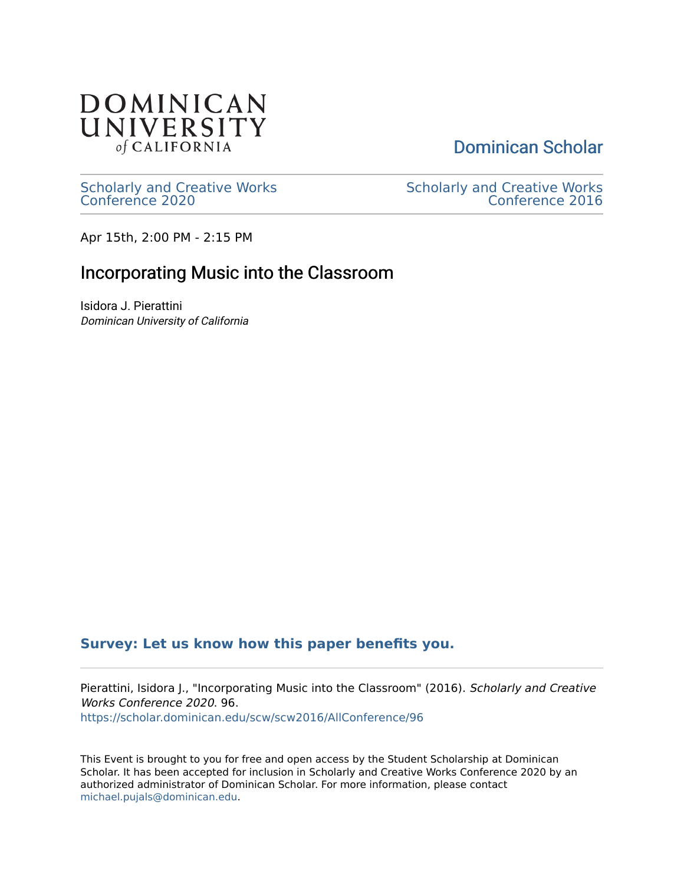

[Dominican Scholar](https://scholar.dominican.edu/) 

[Scholarly and Creative Works](https://scholar.dominican.edu/scw) [Conference 2020](https://scholar.dominican.edu/scw) 

[Scholarly and Creative Works](https://scholar.dominican.edu/scw/scw2016)  [Conference 2016](https://scholar.dominican.edu/scw/scw2016) 

Apr 15th, 2:00 PM - 2:15 PM

## Incorporating Music into the Classroom

Isidora J. Pierattini Dominican University of California

## **[Survey: Let us know how this paper benefits you.](https://dominican.libwizard.com/dominican-scholar-feedback)**

Pierattini, Isidora J., "Incorporating Music into the Classroom" (2016). Scholarly and Creative Works Conference 2020. 96. [https://scholar.dominican.edu/scw/scw2016/AllConference/96](https://scholar.dominican.edu/scw/scw2016/AllConference/96?utm_source=scholar.dominican.edu%2Fscw%2Fscw2016%2FAllConference%2F96&utm_medium=PDF&utm_campaign=PDFCoverPages)

This Event is brought to you for free and open access by the Student Scholarship at Dominican Scholar. It has been accepted for inclusion in Scholarly and Creative Works Conference 2020 by an authorized administrator of Dominican Scholar. For more information, please contact [michael.pujals@dominican.edu.](mailto:michael.pujals@dominican.edu)